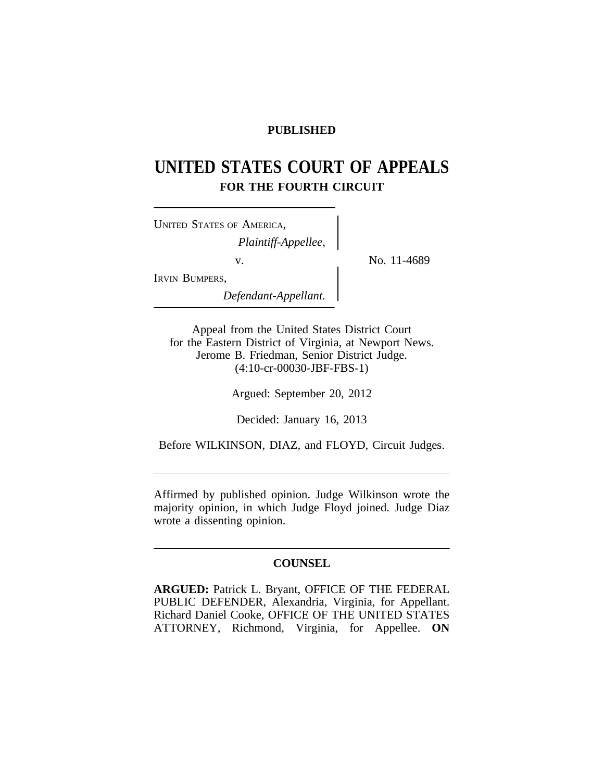# **PUBLISHED**

# **UNITED STATES COURT OF APPEALS FOR THE FOURTH CIRCUIT**

| UNITED STATES OF AMERICA, |  |
|---------------------------|--|
| Plaintiff-Appellee,       |  |
| V.                        |  |
| IRVIN BUMPERS,            |  |
| Defendant-Appellant.      |  |

No. 11-4689

*Defendant-Appellant.*

Appeal from the United States District Court for the Eastern District of Virginia, at Newport News. Jerome B. Friedman, Senior District Judge. (4:10-cr-00030-JBF-FBS-1)

Argued: September 20, 2012

Decided: January 16, 2013

Before WILKINSON, DIAZ, and FLOYD, Circuit Judges.

Affirmed by published opinion. Judge Wilkinson wrote the majority opinion, in which Judge Floyd joined. Judge Diaz wrote a dissenting opinion.

# **COUNSEL**

**ARGUED:** Patrick L. Bryant, OFFICE OF THE FEDERAL PUBLIC DEFENDER, Alexandria, Virginia, for Appellant. Richard Daniel Cooke, OFFICE OF THE UNITED STATES ATTORNEY, Richmond, Virginia, for Appellee. **ON**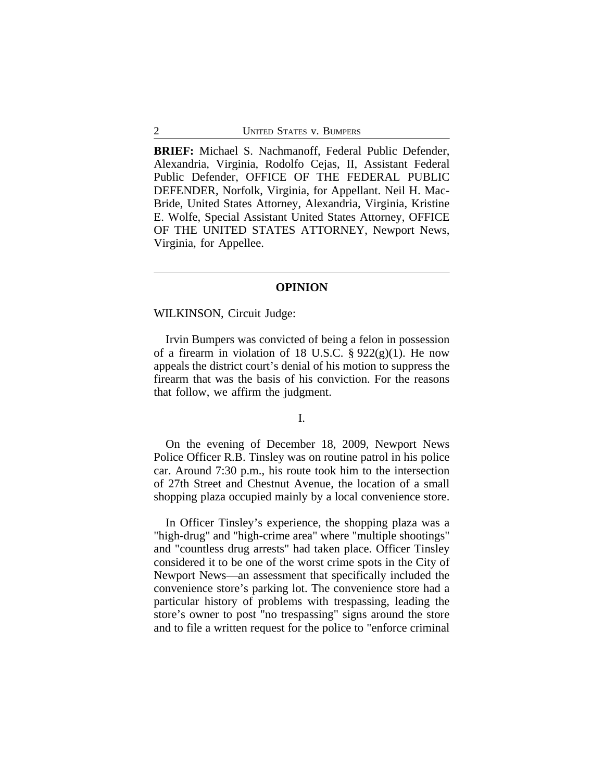**BRIEF:** Michael S. Nachmanoff, Federal Public Defender, Alexandria, Virginia, Rodolfo Cejas, II, Assistant Federal Public Defender, OFFICE OF THE FEDERAL PUBLIC DEFENDER, Norfolk, Virginia, for Appellant. Neil H. Mac-Bride, United States Attorney, Alexandria, Virginia, Kristine E. Wolfe, Special Assistant United States Attorney, OFFICE OF THE UNITED STATES ATTORNEY, Newport News, Virginia, for Appellee.

#### **OPINION**

# WILKINSON, Circuit Judge:

Irvin Bumpers was convicted of being a felon in possession of a firearm in violation of 18 U.S.C.  $\S 922(g)(1)$ . He now appeals the district court's denial of his motion to suppress the firearm that was the basis of his conviction. For the reasons that follow, we affirm the judgment.

## I.

On the evening of December 18, 2009, Newport News Police Officer R.B. Tinsley was on routine patrol in his police car. Around 7:30 p.m., his route took him to the intersection of 27th Street and Chestnut Avenue, the location of a small shopping plaza occupied mainly by a local convenience store.

In Officer Tinsley's experience, the shopping plaza was a "high-drug" and "high-crime area" where "multiple shootings" and "countless drug arrests" had taken place. Officer Tinsley considered it to be one of the worst crime spots in the City of Newport News—an assessment that specifically included the convenience store's parking lot. The convenience store had a particular history of problems with trespassing, leading the store's owner to post "no trespassing" signs around the store and to file a written request for the police to "enforce criminal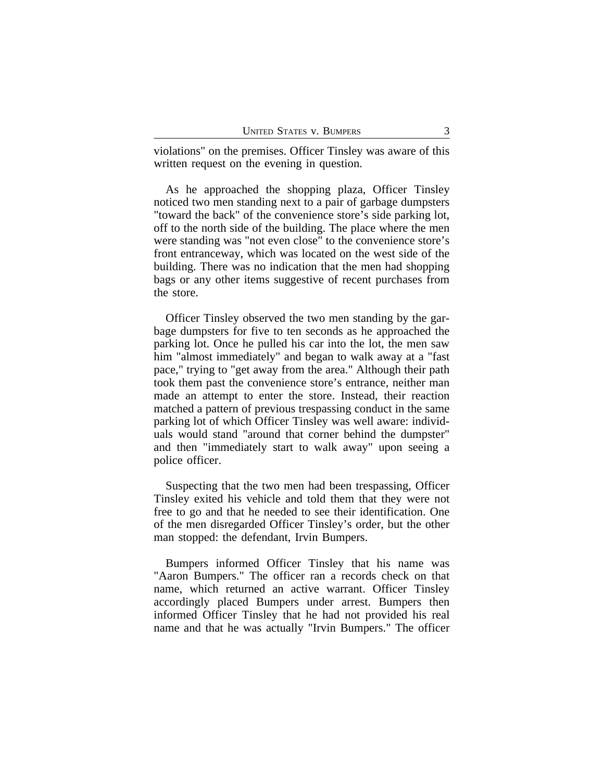violations" on the premises. Officer Tinsley was aware of this written request on the evening in question.

As he approached the shopping plaza, Officer Tinsley noticed two men standing next to a pair of garbage dumpsters "toward the back" of the convenience store's side parking lot, off to the north side of the building. The place where the men were standing was "not even close" to the convenience store's front entranceway, which was located on the west side of the building. There was no indication that the men had shopping bags or any other items suggestive of recent purchases from the store.

Officer Tinsley observed the two men standing by the garbage dumpsters for five to ten seconds as he approached the parking lot. Once he pulled his car into the lot, the men saw him "almost immediately" and began to walk away at a "fast pace," trying to "get away from the area." Although their path took them past the convenience store's entrance, neither man made an attempt to enter the store. Instead, their reaction matched a pattern of previous trespassing conduct in the same parking lot of which Officer Tinsley was well aware: individuals would stand "around that corner behind the dumpster" and then "immediately start to walk away" upon seeing a police officer.

Suspecting that the two men had been trespassing, Officer Tinsley exited his vehicle and told them that they were not free to go and that he needed to see their identification. One of the men disregarded Officer Tinsley's order, but the other man stopped: the defendant, Irvin Bumpers.

Bumpers informed Officer Tinsley that his name was "Aaron Bumpers." The officer ran a records check on that name, which returned an active warrant. Officer Tinsley accordingly placed Bumpers under arrest. Bumpers then informed Officer Tinsley that he had not provided his real name and that he was actually "Irvin Bumpers." The officer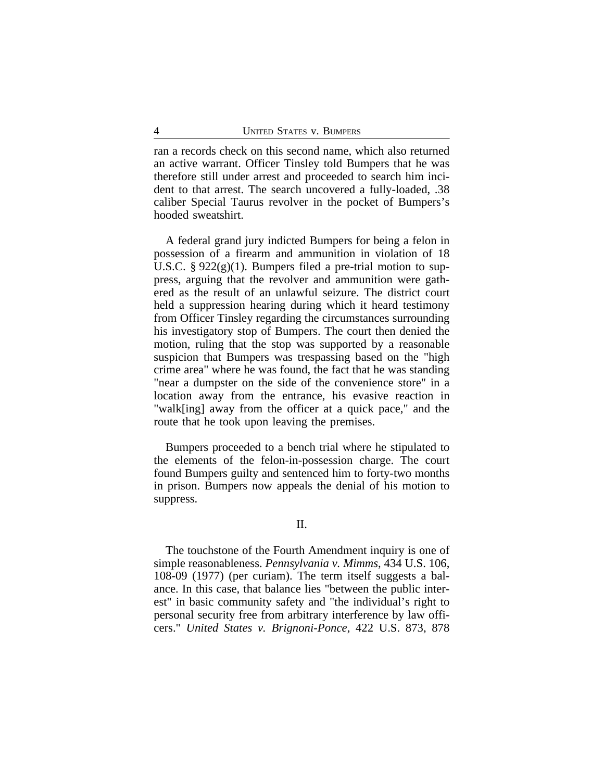ran a records check on this second name, which also returned an active warrant. Officer Tinsley told Bumpers that he was therefore still under arrest and proceeded to search him incident to that arrest. The search uncovered a fully-loaded, .38 caliber Special Taurus revolver in the pocket of Bumpers's hooded sweatshirt.

A federal grand jury indicted Bumpers for being a felon in possession of a firearm and ammunition in violation of 18 U.S.C. §  $922(g)(1)$ . Bumpers filed a pre-trial motion to suppress, arguing that the revolver and ammunition were gathered as the result of an unlawful seizure. The district court held a suppression hearing during which it heard testimony from Officer Tinsley regarding the circumstances surrounding his investigatory stop of Bumpers. The court then denied the motion, ruling that the stop was supported by a reasonable suspicion that Bumpers was trespassing based on the "high crime area" where he was found, the fact that he was standing "near a dumpster on the side of the convenience store" in a location away from the entrance, his evasive reaction in "walk[ing] away from the officer at a quick pace," and the route that he took upon leaving the premises.

Bumpers proceeded to a bench trial where he stipulated to the elements of the felon-in-possession charge. The court found Bumpers guilty and sentenced him to forty-two months in prison. Bumpers now appeals the denial of his motion to suppress.

### II.

The touchstone of the Fourth Amendment inquiry is one of simple reasonableness. *Pennsylvania v. Mimms*, 434 U.S. 106, 108-09 (1977) (per curiam). The term itself suggests a balance. In this case, that balance lies "between the public interest" in basic community safety and "the individual's right to personal security free from arbitrary interference by law officers." *United States v. Brignoni-Ponce*, 422 U.S. 873, 878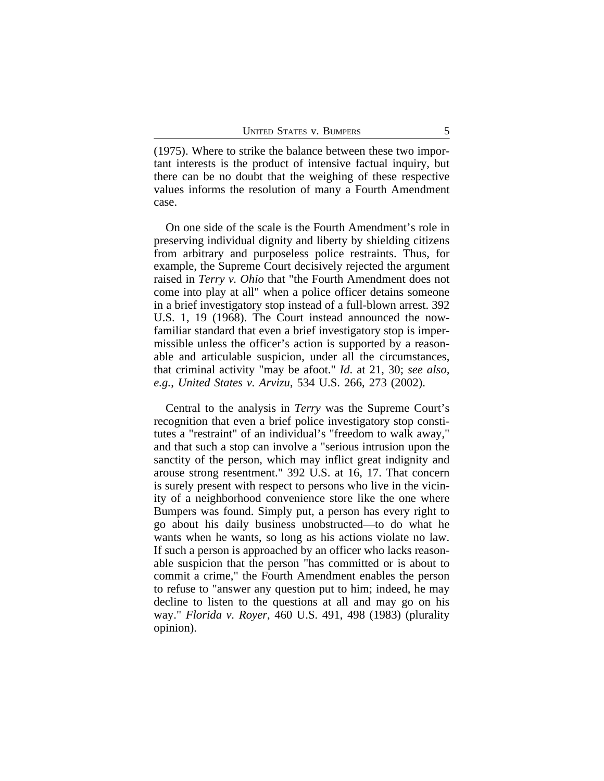(1975). Where to strike the balance between these two important interests is the product of intensive factual inquiry, but there can be no doubt that the weighing of these respective values informs the resolution of many a Fourth Amendment case.

On one side of the scale is the Fourth Amendment's role in preserving individual dignity and liberty by shielding citizens from arbitrary and purposeless police restraints. Thus, for example, the Supreme Court decisively rejected the argument raised in *Terry v. Ohio* that "the Fourth Amendment does not come into play at all" when a police officer detains someone in a brief investigatory stop instead of a full-blown arrest. 392 U.S. 1, 19 (1968). The Court instead announced the nowfamiliar standard that even a brief investigatory stop is impermissible unless the officer's action is supported by a reasonable and articulable suspicion, under all the circumstances, that criminal activity "may be afoot." *Id*. at 21, 30; *see also, e.g.*, *United States v. Arvizu*, 534 U.S. 266, 273 (2002).

Central to the analysis in *Terry* was the Supreme Court's recognition that even a brief police investigatory stop constitutes a "restraint" of an individual's "freedom to walk away," and that such a stop can involve a "serious intrusion upon the sanctity of the person, which may inflict great indignity and arouse strong resentment." 392 U.S. at 16, 17. That concern is surely present with respect to persons who live in the vicinity of a neighborhood convenience store like the one where Bumpers was found. Simply put, a person has every right to go about his daily business unobstructed—to do what he wants when he wants, so long as his actions violate no law. If such a person is approached by an officer who lacks reasonable suspicion that the person "has committed or is about to commit a crime," the Fourth Amendment enables the person to refuse to "answer any question put to him; indeed, he may decline to listen to the questions at all and may go on his way." *Florida v. Royer*, 460 U.S. 491, 498 (1983) (plurality opinion).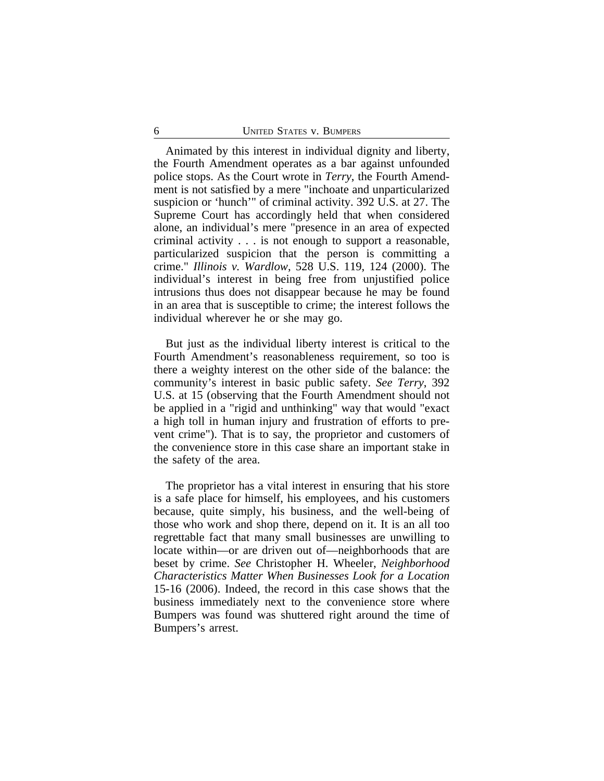Animated by this interest in individual dignity and liberty, the Fourth Amendment operates as a bar against unfounded police stops. As the Court wrote in *Terry*, the Fourth Amendment is not satisfied by a mere "inchoate and unparticularized suspicion or 'hunch'" of criminal activity. 392 U.S. at 27. The Supreme Court has accordingly held that when considered alone, an individual's mere "presence in an area of expected criminal activity . . . is not enough to support a reasonable, particularized suspicion that the person is committing a crime." *Illinois v. Wardlow*, 528 U.S. 119, 124 (2000). The individual's interest in being free from unjustified police intrusions thus does not disappear because he may be found in an area that is susceptible to crime; the interest follows the individual wherever he or she may go.

But just as the individual liberty interest is critical to the Fourth Amendment's reasonableness requirement, so too is there a weighty interest on the other side of the balance: the community's interest in basic public safety. *See Terry*, 392 U.S. at 15 (observing that the Fourth Amendment should not be applied in a "rigid and unthinking" way that would "exact a high toll in human injury and frustration of efforts to prevent crime"). That is to say, the proprietor and customers of the convenience store in this case share an important stake in the safety of the area.

The proprietor has a vital interest in ensuring that his store is a safe place for himself, his employees, and his customers because, quite simply, his business, and the well-being of those who work and shop there, depend on it. It is an all too regrettable fact that many small businesses are unwilling to locate within—or are driven out of—neighborhoods that are beset by crime. *See* Christopher H. Wheeler, *Neighborhood Characteristics Matter When Businesses Look for a Location* 15-16 (2006). Indeed, the record in this case shows that the business immediately next to the convenience store where Bumpers was found was shuttered right around the time of Bumpers's arrest.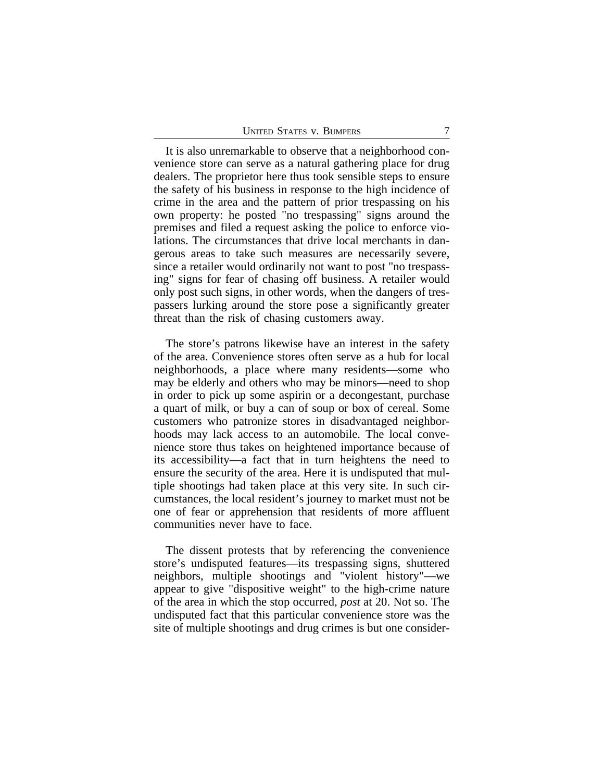It is also unremarkable to observe that a neighborhood convenience store can serve as a natural gathering place for drug dealers. The proprietor here thus took sensible steps to ensure the safety of his business in response to the high incidence of crime in the area and the pattern of prior trespassing on his own property: he posted "no trespassing" signs around the premises and filed a request asking the police to enforce violations. The circumstances that drive local merchants in dangerous areas to take such measures are necessarily severe, since a retailer would ordinarily not want to post "no trespassing" signs for fear of chasing off business. A retailer would only post such signs, in other words, when the dangers of trespassers lurking around the store pose a significantly greater threat than the risk of chasing customers away.

The store's patrons likewise have an interest in the safety of the area. Convenience stores often serve as a hub for local neighborhoods, a place where many residents—some who may be elderly and others who may be minors—need to shop in order to pick up some aspirin or a decongestant, purchase a quart of milk, or buy a can of soup or box of cereal. Some customers who patronize stores in disadvantaged neighborhoods may lack access to an automobile. The local convenience store thus takes on heightened importance because of its accessibility—a fact that in turn heightens the need to ensure the security of the area. Here it is undisputed that multiple shootings had taken place at this very site. In such circumstances, the local resident's journey to market must not be one of fear or apprehension that residents of more affluent communities never have to face.

The dissent protests that by referencing the convenience store's undisputed features—its trespassing signs, shuttered neighbors, multiple shootings and "violent history"—we appear to give "dispositive weight" to the high-crime nature of the area in which the stop occurred, *post* at 20. Not so. The undisputed fact that this particular convenience store was the site of multiple shootings and drug crimes is but one consider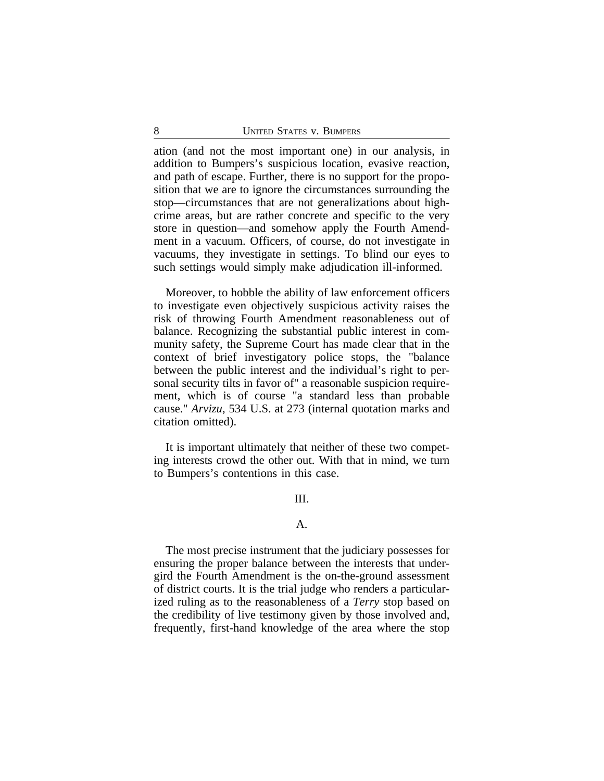ation (and not the most important one) in our analysis, in addition to Bumpers's suspicious location, evasive reaction, and path of escape. Further, there is no support for the proposition that we are to ignore the circumstances surrounding the stop—circumstances that are not generalizations about highcrime areas, but are rather concrete and specific to the very store in question—and somehow apply the Fourth Amendment in a vacuum. Officers, of course, do not investigate in vacuums, they investigate in settings. To blind our eyes to such settings would simply make adjudication ill-informed.

Moreover, to hobble the ability of law enforcement officers to investigate even objectively suspicious activity raises the risk of throwing Fourth Amendment reasonableness out of balance. Recognizing the substantial public interest in community safety, the Supreme Court has made clear that in the context of brief investigatory police stops, the "balance between the public interest and the individual's right to personal security tilts in favor of" a reasonable suspicion requirement, which is of course "a standard less than probable cause." *Arvizu*, 534 U.S. at 273 (internal quotation marks and citation omitted).

It is important ultimately that neither of these two competing interests crowd the other out. With that in mind, we turn to Bumpers's contentions in this case.

## III.

#### A.

The most precise instrument that the judiciary possesses for ensuring the proper balance between the interests that undergird the Fourth Amendment is the on-the-ground assessment of district courts. It is the trial judge who renders a particularized ruling as to the reasonableness of a *Terry* stop based on the credibility of live testimony given by those involved and, frequently, first-hand knowledge of the area where the stop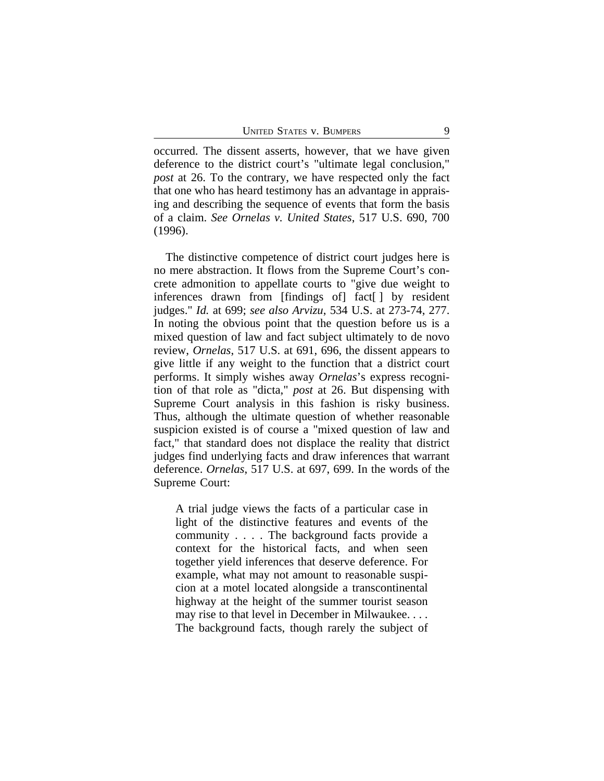occurred. The dissent asserts, however, that we have given deference to the district court's "ultimate legal conclusion," *post* at 26. To the contrary, we have respected only the fact that one who has heard testimony has an advantage in appraising and describing the sequence of events that form the basis of a claim. *See Ornelas v. United States*, 517 U.S. 690, 700 (1996).

The distinctive competence of district court judges here is no mere abstraction. It flows from the Supreme Court's concrete admonition to appellate courts to "give due weight to inferences drawn from [findings of] fact[ ] by resident judges." *Id.* at 699; *see also Arvizu*, 534 U.S. at 273-74, 277. In noting the obvious point that the question before us is a mixed question of law and fact subject ultimately to de novo review, *Ornelas*, 517 U.S. at 691, 696, the dissent appears to give little if any weight to the function that a district court performs. It simply wishes away *Ornelas*'s express recognition of that role as "dicta," *post* at 26. But dispensing with Supreme Court analysis in this fashion is risky business. Thus, although the ultimate question of whether reasonable suspicion existed is of course a "mixed question of law and fact," that standard does not displace the reality that district judges find underlying facts and draw inferences that warrant deference. *Ornelas*, 517 U.S. at 697, 699. In the words of the Supreme Court:

A trial judge views the facts of a particular case in light of the distinctive features and events of the community . . . . The background facts provide a context for the historical facts, and when seen together yield inferences that deserve deference. For example, what may not amount to reasonable suspicion at a motel located alongside a transcontinental highway at the height of the summer tourist season may rise to that level in December in Milwaukee. . . . The background facts, though rarely the subject of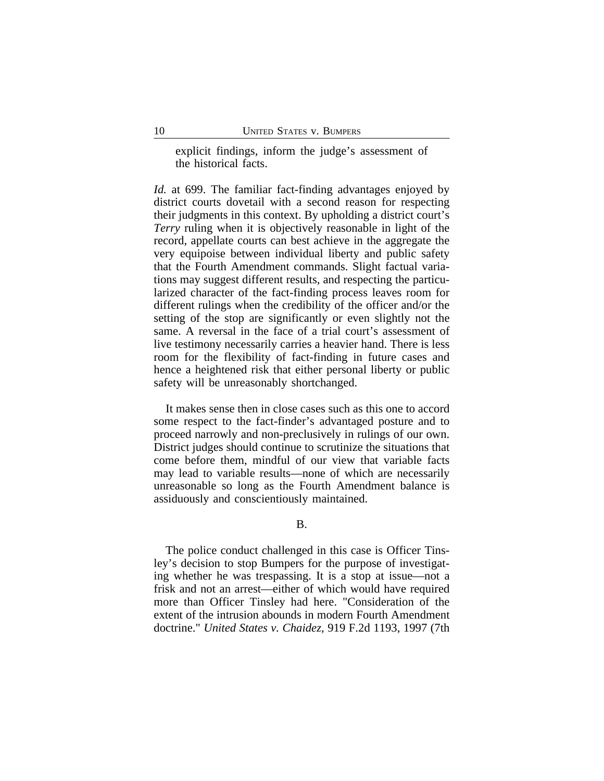explicit findings, inform the judge's assessment of the historical facts.

*Id.* at 699. The familiar fact-finding advantages enjoyed by district courts dovetail with a second reason for respecting their judgments in this context. By upholding a district court's *Terry* ruling when it is objectively reasonable in light of the record, appellate courts can best achieve in the aggregate the very equipoise between individual liberty and public safety that the Fourth Amendment commands. Slight factual variations may suggest different results, and respecting the particularized character of the fact-finding process leaves room for different rulings when the credibility of the officer and/or the setting of the stop are significantly or even slightly not the same. A reversal in the face of a trial court's assessment of live testimony necessarily carries a heavier hand. There is less room for the flexibility of fact-finding in future cases and hence a heightened risk that either personal liberty or public safety will be unreasonably shortchanged.

It makes sense then in close cases such as this one to accord some respect to the fact-finder's advantaged posture and to proceed narrowly and non-preclusively in rulings of our own. District judges should continue to scrutinize the situations that come before them, mindful of our view that variable facts may lead to variable results—none of which are necessarily unreasonable so long as the Fourth Amendment balance is assiduously and conscientiously maintained.

### B.

The police conduct challenged in this case is Officer Tinsley's decision to stop Bumpers for the purpose of investigating whether he was trespassing. It is a stop at issue—not a frisk and not an arrest—either of which would have required more than Officer Tinsley had here. "Consideration of the extent of the intrusion abounds in modern Fourth Amendment doctrine." *United States v. Chaidez*, 919 F.2d 1193, 1997 (7th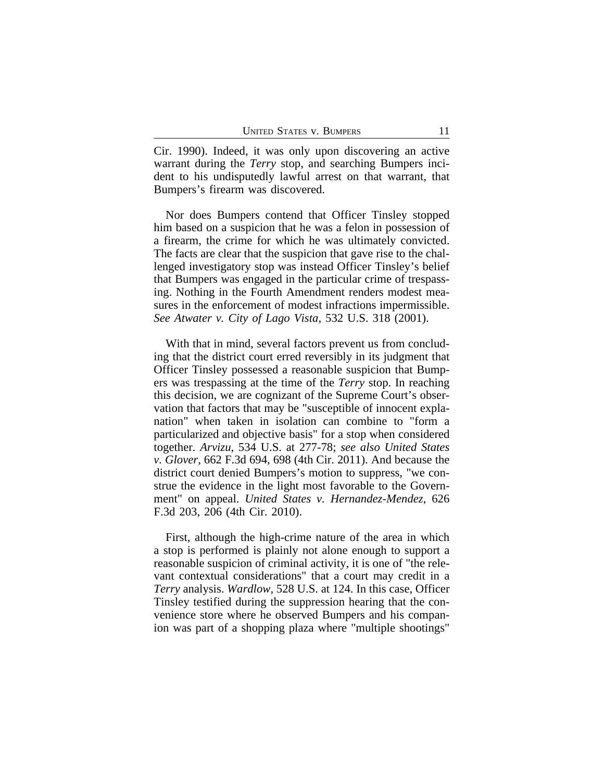Cir. 1990). Indeed, it was only upon discovering an active warrant during the *Terry* stop, and searching Bumpers incident to his undisputedly lawful arrest on that warrant, that Bumpers's firearm was discovered.

Nor does Bumpers contend that Officer Tinsley stopped him based on a suspicion that he was a felon in possession of a firearm, the crime for which he was ultimately convicted. The facts are clear that the suspicion that gave rise to the challenged investigatory stop was instead Officer Tinsley's belief that Bumpers was engaged in the particular crime of trespassing. Nothing in the Fourth Amendment renders modest measures in the enforcement of modest infractions impermissible. *See Atwater v. City of Lago Vista*, 532 U.S. 318 (2001).

With that in mind, several factors prevent us from concluding that the district court erred reversibly in its judgment that Officer Tinsley possessed a reasonable suspicion that Bumpers was trespassing at the time of the *Terry* stop. In reaching this decision, we are cognizant of the Supreme Court's observation that factors that may be "susceptible of innocent explanation" when taken in isolation can combine to "form a particularized and objective basis" for a stop when considered together. *Arvizu*, 534 U.S. at 277-78; *see also United States v. Glover*, 662 F.3d 694, 698 (4th Cir. 2011). And because the district court denied Bumpers's motion to suppress, "we construe the evidence in the light most favorable to the Government" on appeal. *United States v. Hernandez-Mendez*, 626 F.3d 203, 206 (4th Cir. 2010).

First, although the high-crime nature of the area in which a stop is performed is plainly not alone enough to support a reasonable suspicion of criminal activity, it is one of "the relevant contextual considerations" that a court may credit in a *Terry* analysis. *Wardlow*, 528 U.S. at 124. In this case, Officer Tinsley testified during the suppression hearing that the convenience store where he observed Bumpers and his companion was part of a shopping plaza where "multiple shootings"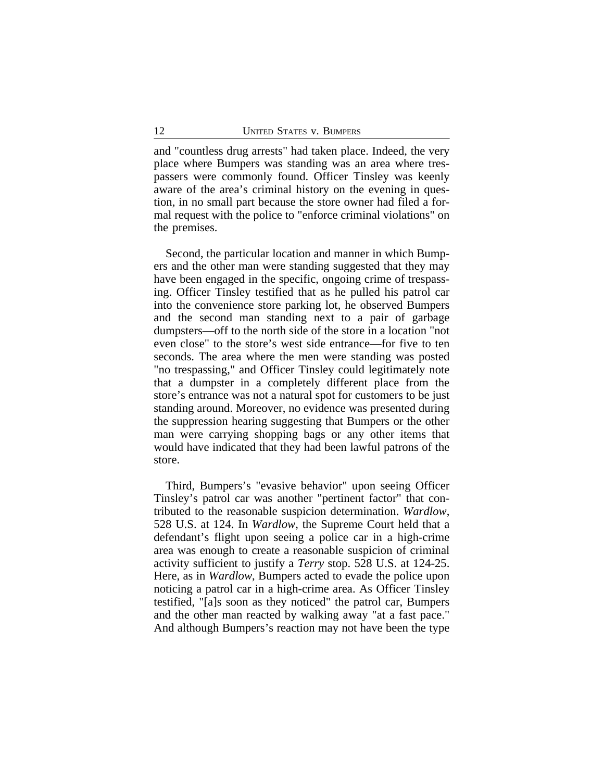and "countless drug arrests" had taken place. Indeed, the very place where Bumpers was standing was an area where trespassers were commonly found. Officer Tinsley was keenly aware of the area's criminal history on the evening in question, in no small part because the store owner had filed a formal request with the police to "enforce criminal violations" on the premises.

Second, the particular location and manner in which Bumpers and the other man were standing suggested that they may have been engaged in the specific, ongoing crime of trespassing. Officer Tinsley testified that as he pulled his patrol car into the convenience store parking lot, he observed Bumpers and the second man standing next to a pair of garbage dumpsters—off to the north side of the store in a location "not even close" to the store's west side entrance—for five to ten seconds. The area where the men were standing was posted "no trespassing," and Officer Tinsley could legitimately note that a dumpster in a completely different place from the store's entrance was not a natural spot for customers to be just standing around. Moreover, no evidence was presented during the suppression hearing suggesting that Bumpers or the other man were carrying shopping bags or any other items that would have indicated that they had been lawful patrons of the store.

Third, Bumpers's "evasive behavior" upon seeing Officer Tinsley's patrol car was another "pertinent factor" that contributed to the reasonable suspicion determination. *Wardlow*, 528 U.S. at 124. In *Wardlow*, the Supreme Court held that a defendant's flight upon seeing a police car in a high-crime area was enough to create a reasonable suspicion of criminal activity sufficient to justify a *Terry* stop. 528 U.S. at 124-25. Here, as in *Wardlow*, Bumpers acted to evade the police upon noticing a patrol car in a high-crime area. As Officer Tinsley testified, "[a]s soon as they noticed" the patrol car, Bumpers and the other man reacted by walking away "at a fast pace." And although Bumpers's reaction may not have been the type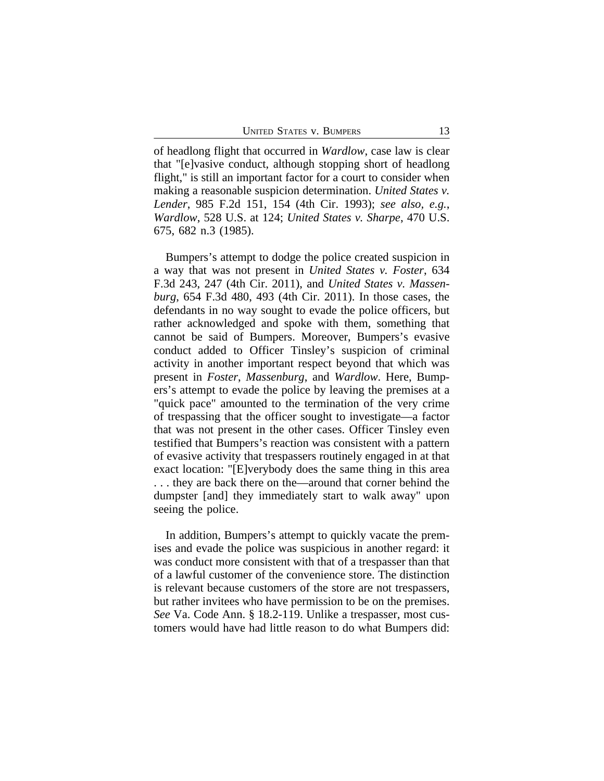of headlong flight that occurred in *Wardlow*, case law is clear that "[e]vasive conduct, although stopping short of headlong flight," is still an important factor for a court to consider when making a reasonable suspicion determination. *United States v. Lender*, 985 F.2d 151, 154 (4th Cir. 1993); *see also, e.g.*, *Wardlow*, 528 U.S. at 124; *United States v. Sharpe*, 470 U.S. 675, 682 n.3 (1985).

Bumpers's attempt to dodge the police created suspicion in a way that was not present in *United States v. Foster*, 634 F.3d 243, 247 (4th Cir. 2011), and *United States v. Massenburg*, 654 F.3d 480, 493 (4th Cir. 2011). In those cases, the defendants in no way sought to evade the police officers, but rather acknowledged and spoke with them, something that cannot be said of Bumpers. Moreover, Bumpers's evasive conduct added to Officer Tinsley's suspicion of criminal activity in another important respect beyond that which was present in *Foster*, *Massenburg*, and *Wardlow*. Here, Bumpers's attempt to evade the police by leaving the premises at a "quick pace" amounted to the termination of the very crime of trespassing that the officer sought to investigate—a factor that was not present in the other cases. Officer Tinsley even testified that Bumpers's reaction was consistent with a pattern of evasive activity that trespassers routinely engaged in at that exact location: "[E]verybody does the same thing in this area . . . they are back there on the—around that corner behind the dumpster [and] they immediately start to walk away" upon seeing the police.

In addition, Bumpers's attempt to quickly vacate the premises and evade the police was suspicious in another regard: it was conduct more consistent with that of a trespasser than that of a lawful customer of the convenience store. The distinction is relevant because customers of the store are not trespassers, but rather invitees who have permission to be on the premises. *See* Va. Code Ann. § 18.2-119. Unlike a trespasser, most customers would have had little reason to do what Bumpers did: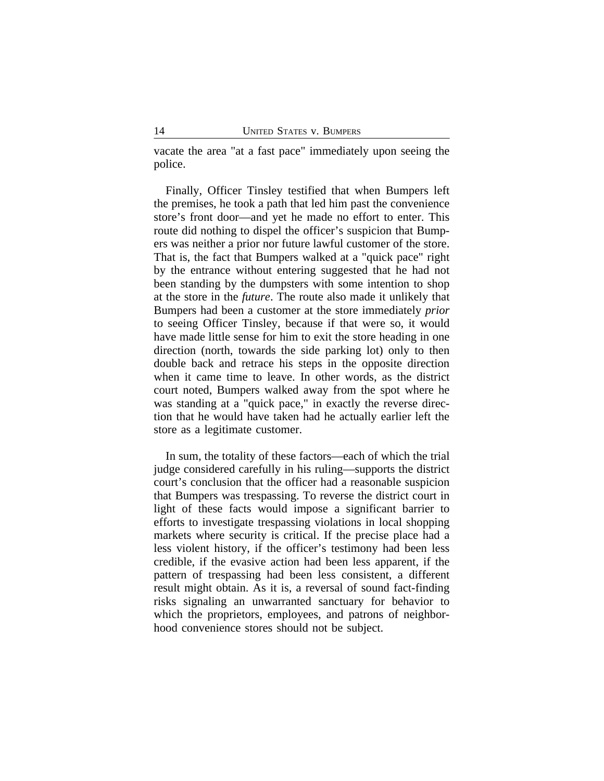vacate the area "at a fast pace" immediately upon seeing the police.

Finally, Officer Tinsley testified that when Bumpers left the premises, he took a path that led him past the convenience store's front door—and yet he made no effort to enter. This route did nothing to dispel the officer's suspicion that Bumpers was neither a prior nor future lawful customer of the store. That is, the fact that Bumpers walked at a "quick pace" right by the entrance without entering suggested that he had not been standing by the dumpsters with some intention to shop at the store in the *future*. The route also made it unlikely that Bumpers had been a customer at the store immediately *prior* to seeing Officer Tinsley, because if that were so, it would have made little sense for him to exit the store heading in one direction (north, towards the side parking lot) only to then double back and retrace his steps in the opposite direction when it came time to leave. In other words, as the district court noted, Bumpers walked away from the spot where he was standing at a "quick pace," in exactly the reverse direction that he would have taken had he actually earlier left the store as a legitimate customer.

In sum, the totality of these factors—each of which the trial judge considered carefully in his ruling—supports the district court's conclusion that the officer had a reasonable suspicion that Bumpers was trespassing. To reverse the district court in light of these facts would impose a significant barrier to efforts to investigate trespassing violations in local shopping markets where security is critical. If the precise place had a less violent history, if the officer's testimony had been less credible, if the evasive action had been less apparent, if the pattern of trespassing had been less consistent, a different result might obtain. As it is, a reversal of sound fact-finding risks signaling an unwarranted sanctuary for behavior to which the proprietors, employees, and patrons of neighborhood convenience stores should not be subject.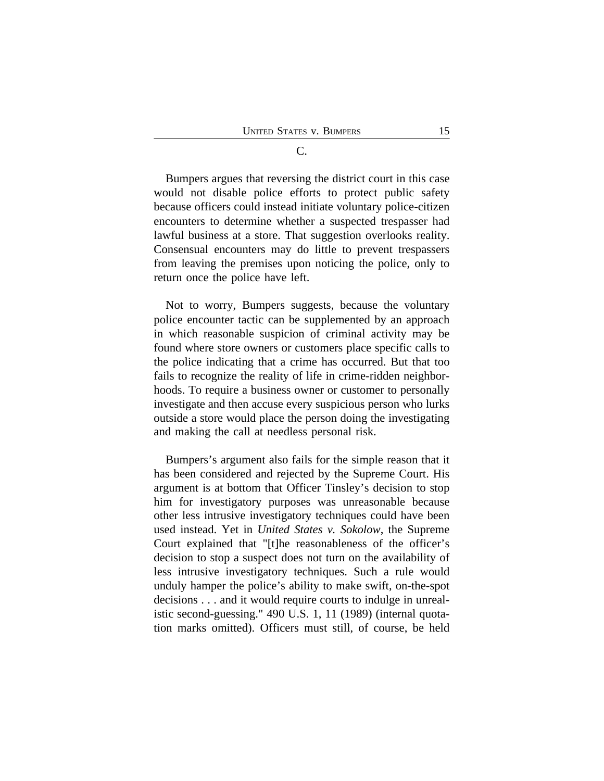Bumpers argues that reversing the district court in this case would not disable police efforts to protect public safety because officers could instead initiate voluntary police-citizen encounters to determine whether a suspected trespasser had lawful business at a store. That suggestion overlooks reality. Consensual encounters may do little to prevent trespassers from leaving the premises upon noticing the police, only to return once the police have left.

Not to worry, Bumpers suggests, because the voluntary police encounter tactic can be supplemented by an approach in which reasonable suspicion of criminal activity may be found where store owners or customers place specific calls to the police indicating that a crime has occurred. But that too fails to recognize the reality of life in crime-ridden neighborhoods. To require a business owner or customer to personally investigate and then accuse every suspicious person who lurks outside a store would place the person doing the investigating and making the call at needless personal risk.

Bumpers's argument also fails for the simple reason that it has been considered and rejected by the Supreme Court. His argument is at bottom that Officer Tinsley's decision to stop him for investigatory purposes was unreasonable because other less intrusive investigatory techniques could have been used instead. Yet in *United States v. Sokolow*, the Supreme Court explained that "[t]he reasonableness of the officer's decision to stop a suspect does not turn on the availability of less intrusive investigatory techniques. Such a rule would unduly hamper the police's ability to make swift, on-the-spot decisions . . . and it would require courts to indulge in unrealistic second-guessing." 490 U.S. 1, 11 (1989) (internal quotation marks omitted). Officers must still, of course, be held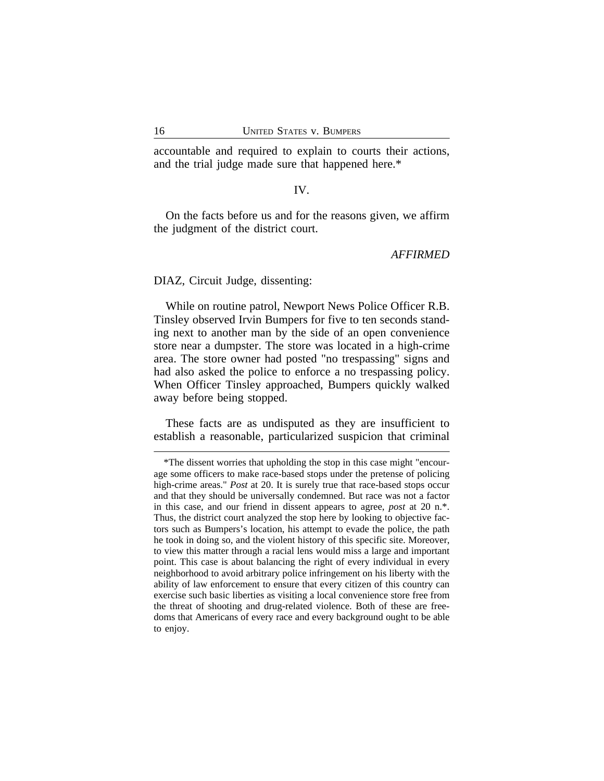accountable and required to explain to courts their actions, and the trial judge made sure that happened here.\*

## IV.

On the facts before us and for the reasons given, we affirm the judgment of the district court.

#### *AFFIRMED*

DIAZ, Circuit Judge, dissenting:

While on routine patrol, Newport News Police Officer R.B. Tinsley observed Irvin Bumpers for five to ten seconds standing next to another man by the side of an open convenience store near a dumpster. The store was located in a high-crime area. The store owner had posted "no trespassing" signs and had also asked the police to enforce a no trespassing policy. When Officer Tinsley approached, Bumpers quickly walked away before being stopped.

These facts are as undisputed as they are insufficient to establish a reasonable, particularized suspicion that criminal

<sup>\*</sup>The dissent worries that upholding the stop in this case might "encourage some officers to make race-based stops under the pretense of policing high-crime areas." *Post* at 20. It is surely true that race-based stops occur and that they should be universally condemned. But race was not a factor in this case, and our friend in dissent appears to agree, *post* at 20 n.\*. Thus, the district court analyzed the stop here by looking to objective factors such as Bumpers's location, his attempt to evade the police, the path he took in doing so, and the violent history of this specific site. Moreover, to view this matter through a racial lens would miss a large and important point. This case is about balancing the right of every individual in every neighborhood to avoid arbitrary police infringement on his liberty with the ability of law enforcement to ensure that every citizen of this country can exercise such basic liberties as visiting a local convenience store free from the threat of shooting and drug-related violence. Both of these are freedoms that Americans of every race and every background ought to be able to enjoy.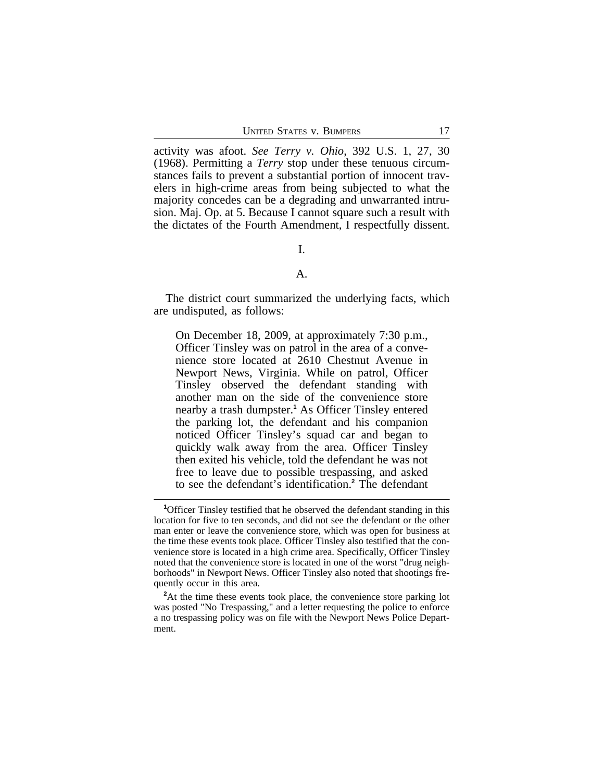activity was afoot. *See Terry v. Ohio*, 392 U.S. 1, 27, 30 (1968). Permitting a *Terry* stop under these tenuous circumstances fails to prevent a substantial portion of innocent travelers in high-crime areas from being subjected to what the majority concedes can be a degrading and unwarranted intrusion. Maj. Op. at 5. Because I cannot square such a result with the dictates of the Fourth Amendment, I respectfully dissent.

## I.

### A.

The district court summarized the underlying facts, which are undisputed, as follows:

On December 18, 2009, at approximately 7:30 p.m., Officer Tinsley was on patrol in the area of a convenience store located at 2610 Chestnut Avenue in Newport News, Virginia. While on patrol, Officer Tinsley observed the defendant standing with another man on the side of the convenience store nearby a trash dumpster.**<sup>1</sup>** As Officer Tinsley entered the parking lot, the defendant and his companion noticed Officer Tinsley's squad car and began to quickly walk away from the area. Officer Tinsley then exited his vehicle, told the defendant he was not free to leave due to possible trespassing, and asked to see the defendant's identification.**<sup>2</sup>** The defendant

**<sup>1</sup>**Officer Tinsley testified that he observed the defendant standing in this location for five to ten seconds, and did not see the defendant or the other man enter or leave the convenience store, which was open for business at the time these events took place. Officer Tinsley also testified that the convenience store is located in a high crime area. Specifically, Officer Tinsley noted that the convenience store is located in one of the worst "drug neighborhoods" in Newport News. Officer Tinsley also noted that shootings frequently occur in this area.

<sup>&</sup>lt;sup>2</sup>At the time these events took place, the convenience store parking lot was posted "No Trespassing," and a letter requesting the police to enforce a no trespassing policy was on file with the Newport News Police Department.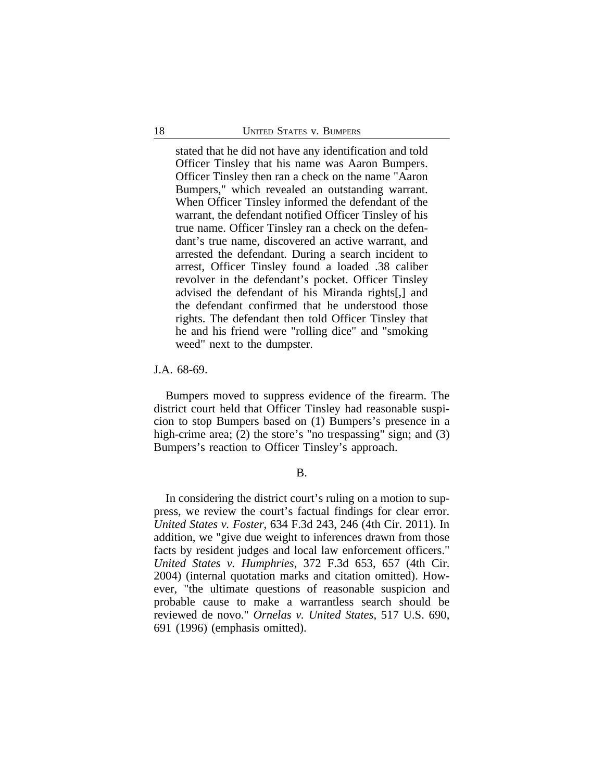stated that he did not have any identification and told Officer Tinsley that his name was Aaron Bumpers. Officer Tinsley then ran a check on the name "Aaron Bumpers," which revealed an outstanding warrant. When Officer Tinsley informed the defendant of the warrant, the defendant notified Officer Tinsley of his true name. Officer Tinsley ran a check on the defendant's true name, discovered an active warrant, and arrested the defendant. During a search incident to arrest, Officer Tinsley found a loaded .38 caliber revolver in the defendant's pocket. Officer Tinsley advised the defendant of his Miranda rights[,] and the defendant confirmed that he understood those rights. The defendant then told Officer Tinsley that he and his friend were "rolling dice" and "smoking weed" next to the dumpster.

#### J.A. 68-69.

Bumpers moved to suppress evidence of the firearm. The district court held that Officer Tinsley had reasonable suspicion to stop Bumpers based on (1) Bumpers's presence in a high-crime area; (2) the store's "no trespassing" sign; and (3) Bumpers's reaction to Officer Tinsley's approach.

#### B.

In considering the district court's ruling on a motion to suppress, we review the court's factual findings for clear error. *United States v. Foster*, 634 F.3d 243, 246 (4th Cir. 2011). In addition, we "give due weight to inferences drawn from those facts by resident judges and local law enforcement officers." *United States v. Humphries*, 372 F.3d 653, 657 (4th Cir. 2004) (internal quotation marks and citation omitted). However, "the ultimate questions of reasonable suspicion and probable cause to make a warrantless search should be reviewed de novo." *Ornelas v. United States*, 517 U.S. 690, 691 (1996) (emphasis omitted).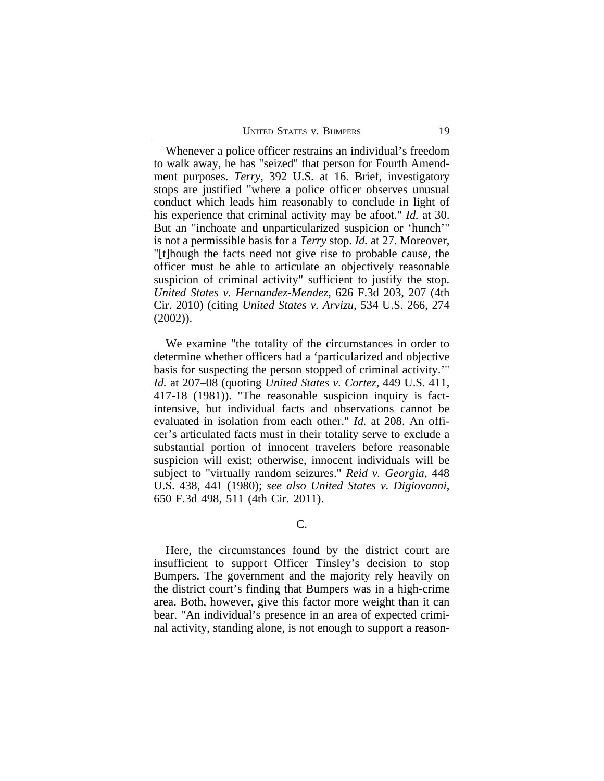Whenever a police officer restrains an individual's freedom to walk away, he has "seized" that person for Fourth Amendment purposes. *Terry*, 392 U.S. at 16. Brief, investigatory stops are justified "where a police officer observes unusual conduct which leads him reasonably to conclude in light of his experience that criminal activity may be afoot." *Id.* at 30. But an "inchoate and unparticularized suspicion or 'hunch'" is not a permissible basis for a *Terry* stop. *Id.* at 27. Moreover, "[t]hough the facts need not give rise to probable cause, the officer must be able to articulate an objectively reasonable suspicion of criminal activity" sufficient to justify the stop. *United States v. Hernandez-Mendez*, 626 F.3d 203, 207 (4th Cir. 2010) (citing *United States v. Arvizu*, 534 U.S. 266, 274 (2002)).

We examine "the totality of the circumstances in order to determine whether officers had a 'particularized and objective basis for suspecting the person stopped of criminal activity.'" *Id.* at 207–08 (quoting *United States v. Cortez*, 449 U.S. 411, 417-18 (1981)). "The reasonable suspicion inquiry is factintensive, but individual facts and observations cannot be evaluated in isolation from each other." *Id.* at 208. An officer's articulated facts must in their totality serve to exclude a substantial portion of innocent travelers before reasonable suspicion will exist; otherwise, innocent individuals will be subject to "virtually random seizures." *Reid v. Georgia*, 448 U.S. 438, 441 (1980); *see also United States v. Digiovanni*, 650 F.3d 498, 511 (4th Cir. 2011).

Here, the circumstances found by the district court are insufficient to support Officer Tinsley's decision to stop Bumpers. The government and the majority rely heavily on the district court's finding that Bumpers was in a high-crime area. Both, however, give this factor more weight than it can bear. "An individual's presence in an area of expected criminal activity, standing alone, is not enough to support a reason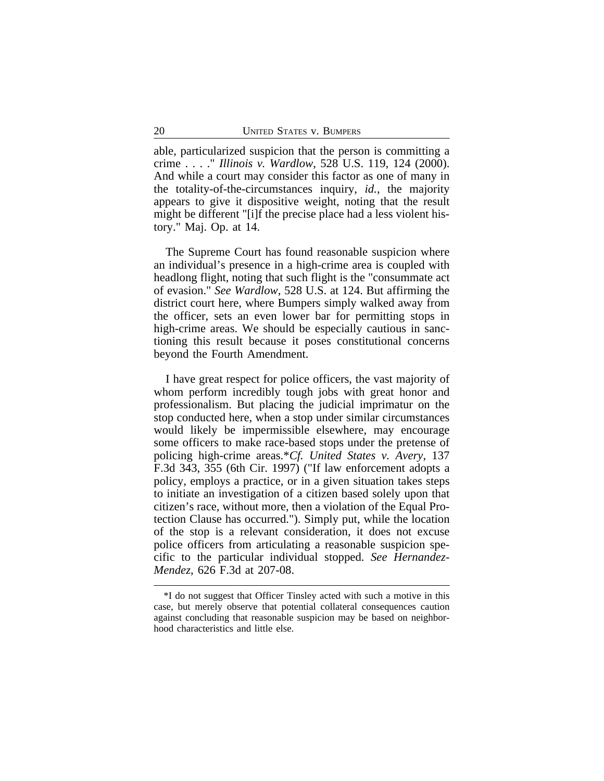able, particularized suspicion that the person is committing a crime . . . ." *Illinois v. Wardlow*, 528 U.S. 119, 124 (2000). And while a court may consider this factor as one of many in the totality-of-the-circumstances inquiry, *id.*, the majority appears to give it dispositive weight, noting that the result might be different "[i]f the precise place had a less violent history." Maj. Op. at 14.

The Supreme Court has found reasonable suspicion where an individual's presence in a high-crime area is coupled with headlong flight, noting that such flight is the "consummate act of evasion." *See Wardlow*, 528 U.S. at 124. But affirming the district court here, where Bumpers simply walked away from the officer, sets an even lower bar for permitting stops in high-crime areas. We should be especially cautious in sanctioning this result because it poses constitutional concerns beyond the Fourth Amendment.

I have great respect for police officers, the vast majority of whom perform incredibly tough jobs with great honor and professionalism. But placing the judicial imprimatur on the stop conducted here, when a stop under similar circumstances would likely be impermissible elsewhere, may encourage some officers to make race-based stops under the pretense of policing high-crime areas.\**Cf. United States v. Avery*, 137 F.3d 343, 355 (6th Cir. 1997) ("If law enforcement adopts a policy, employs a practice, or in a given situation takes steps to initiate an investigation of a citizen based solely upon that citizen's race, without more, then a violation of the Equal Protection Clause has occurred."). Simply put, while the location of the stop is a relevant consideration, it does not excuse police officers from articulating a reasonable suspicion specific to the particular individual stopped. *See Hernandez-Mendez*, 626 F.3d at 207-08.

<sup>\*</sup>I do not suggest that Officer Tinsley acted with such a motive in this case, but merely observe that potential collateral consequences caution against concluding that reasonable suspicion may be based on neighborhood characteristics and little else.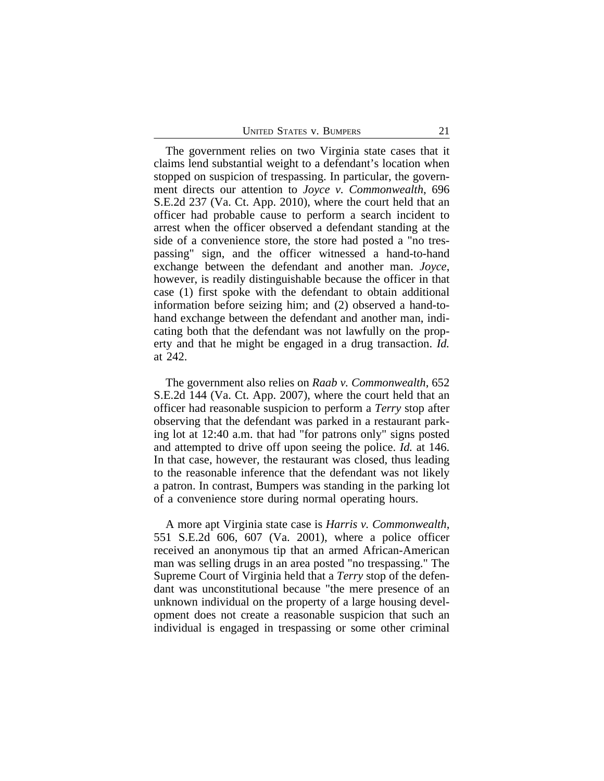The government relies on two Virginia state cases that it claims lend substantial weight to a defendant's location when stopped on suspicion of trespassing. In particular, the government directs our attention to *Joyce v. Commonwealth*, 696 S.E.2d 237 (Va. Ct. App. 2010), where the court held that an officer had probable cause to perform a search incident to arrest when the officer observed a defendant standing at the side of a convenience store, the store had posted a "no trespassing" sign, and the officer witnessed a hand-to-hand exchange between the defendant and another man. *Joyce*, however, is readily distinguishable because the officer in that case (1) first spoke with the defendant to obtain additional information before seizing him; and (2) observed a hand-tohand exchange between the defendant and another man, indicating both that the defendant was not lawfully on the property and that he might be engaged in a drug transaction. *Id.* at 242.

The government also relies on *Raab v. Commonwealth*, 652 S.E.2d 144 (Va. Ct. App. 2007), where the court held that an officer had reasonable suspicion to perform a *Terry* stop after observing that the defendant was parked in a restaurant parking lot at 12:40 a.m. that had "for patrons only" signs posted and attempted to drive off upon seeing the police. *Id.* at 146. In that case, however, the restaurant was closed, thus leading to the reasonable inference that the defendant was not likely a patron. In contrast, Bumpers was standing in the parking lot of a convenience store during normal operating hours.

A more apt Virginia state case is *Harris v. Commonwealth*, 551 S.E.2d 606, 607 (Va. 2001), where a police officer received an anonymous tip that an armed African-American man was selling drugs in an area posted "no trespassing." The Supreme Court of Virginia held that a *Terry* stop of the defendant was unconstitutional because "the mere presence of an unknown individual on the property of a large housing development does not create a reasonable suspicion that such an individual is engaged in trespassing or some other criminal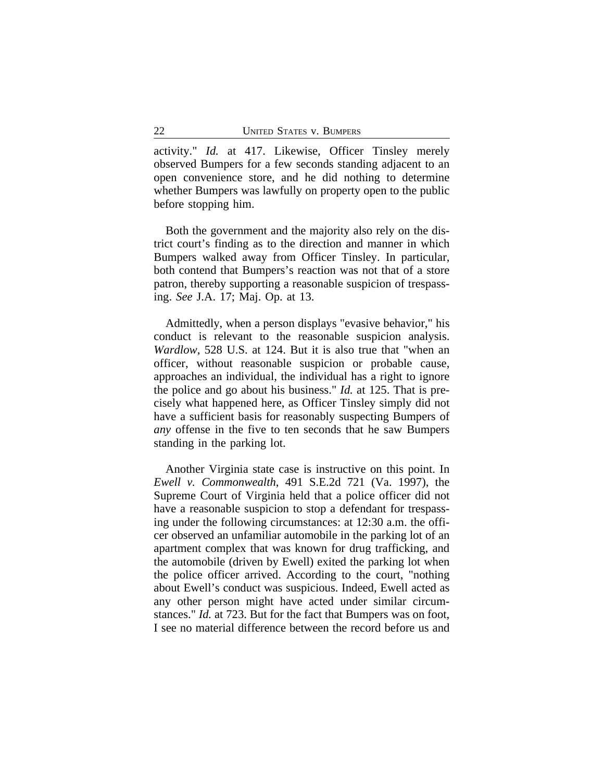activity." *Id.* at 417. Likewise, Officer Tinsley merely observed Bumpers for a few seconds standing adjacent to an open convenience store, and he did nothing to determine whether Bumpers was lawfully on property open to the public before stopping him.

Both the government and the majority also rely on the district court's finding as to the direction and manner in which Bumpers walked away from Officer Tinsley. In particular, both contend that Bumpers's reaction was not that of a store patron, thereby supporting a reasonable suspicion of trespassing. *See* J.A. 17; Maj. Op. at 13.

Admittedly, when a person displays "evasive behavior," his conduct is relevant to the reasonable suspicion analysis. *Wardlow*, 528 U.S. at 124. But it is also true that "when an officer, without reasonable suspicion or probable cause, approaches an individual, the individual has a right to ignore the police and go about his business." *Id.* at 125. That is precisely what happened here, as Officer Tinsley simply did not have a sufficient basis for reasonably suspecting Bumpers of *any* offense in the five to ten seconds that he saw Bumpers standing in the parking lot.

Another Virginia state case is instructive on this point. In *Ewell v. Commonwealth*, 491 S.E.2d 721 (Va. 1997), the Supreme Court of Virginia held that a police officer did not have a reasonable suspicion to stop a defendant for trespassing under the following circumstances: at 12:30 a.m. the officer observed an unfamiliar automobile in the parking lot of an apartment complex that was known for drug trafficking, and the automobile (driven by Ewell) exited the parking lot when the police officer arrived. According to the court, "nothing about Ewell's conduct was suspicious. Indeed, Ewell acted as any other person might have acted under similar circumstances." *Id.* at 723. But for the fact that Bumpers was on foot, I see no material difference between the record before us and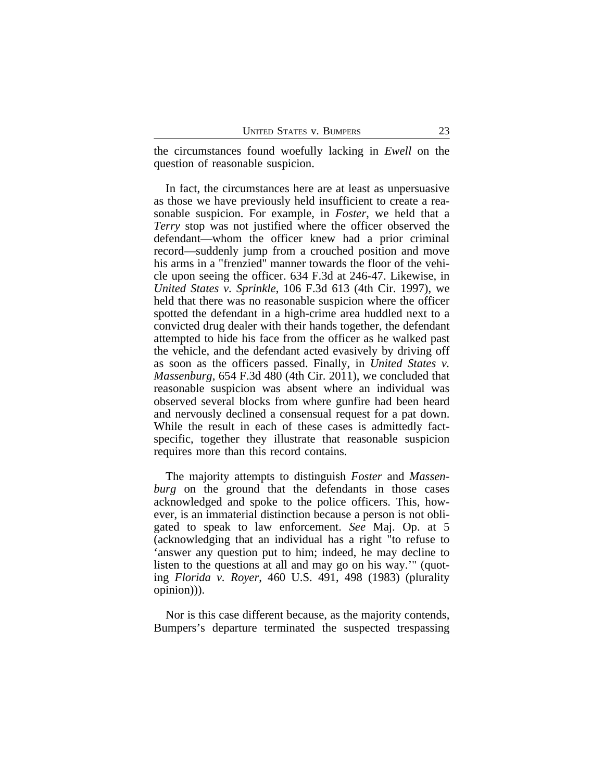the circumstances found woefully lacking in *Ewell* on the question of reasonable suspicion.

In fact, the circumstances here are at least as unpersuasive as those we have previously held insufficient to create a reasonable suspicion. For example, in *Foster*, we held that a *Terry* stop was not justified where the officer observed the defendant—whom the officer knew had a prior criminal record—suddenly jump from a crouched position and move his arms in a "frenzied" manner towards the floor of the vehicle upon seeing the officer. 634 F.3d at 246-47. Likewise, in *United States v. Sprinkle*, 106 F.3d 613 (4th Cir. 1997), we held that there was no reasonable suspicion where the officer spotted the defendant in a high-crime area huddled next to a convicted drug dealer with their hands together, the defendant attempted to hide his face from the officer as he walked past the vehicle, and the defendant acted evasively by driving off as soon as the officers passed. Finally, in *United States v. Massenburg*, 654 F.3d 480 (4th Cir. 2011), we concluded that reasonable suspicion was absent where an individual was observed several blocks from where gunfire had been heard and nervously declined a consensual request for a pat down. While the result in each of these cases is admittedly factspecific, together they illustrate that reasonable suspicion requires more than this record contains.

The majority attempts to distinguish *Foster* and *Massenburg* on the ground that the defendants in those cases acknowledged and spoke to the police officers. This, however, is an immaterial distinction because a person is not obligated to speak to law enforcement. *See* Maj. Op. at 5 (acknowledging that an individual has a right "to refuse to 'answer any question put to him; indeed, he may decline to listen to the questions at all and may go on his way.'" (quoting *Florida v. Royer*, 460 U.S. 491, 498 (1983) (plurality opinion))).

Nor is this case different because, as the majority contends, Bumpers's departure terminated the suspected trespassing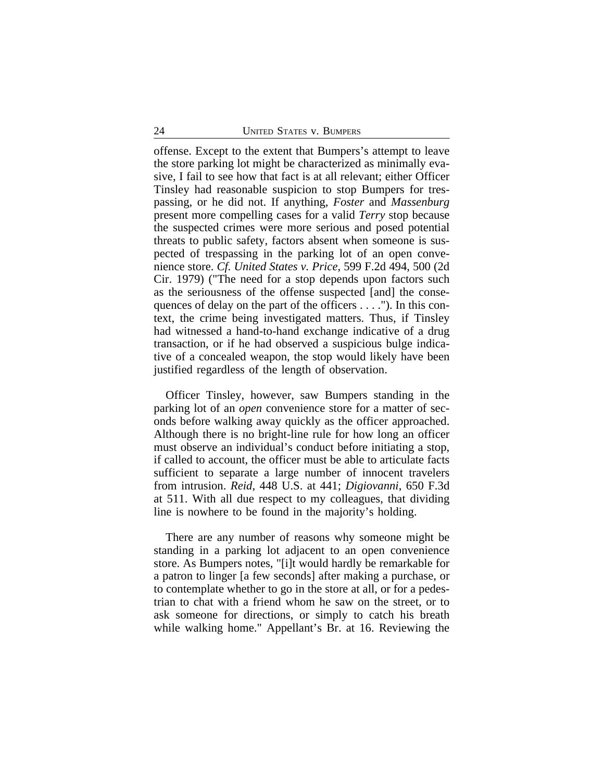offense. Except to the extent that Bumpers's attempt to leave the store parking lot might be characterized as minimally evasive, I fail to see how that fact is at all relevant; either Officer Tinsley had reasonable suspicion to stop Bumpers for trespassing, or he did not. If anything, *Foster* and *Massenburg* present more compelling cases for a valid *Terry* stop because the suspected crimes were more serious and posed potential threats to public safety, factors absent when someone is suspected of trespassing in the parking lot of an open convenience store. *Cf. United States v. Price*, 599 F.2d 494, 500 (2d Cir. 1979) ("The need for a stop depends upon factors such as the seriousness of the offense suspected [and] the consequences of delay on the part of the officers . . . ."). In this context, the crime being investigated matters. Thus, if Tinsley had witnessed a hand-to-hand exchange indicative of a drug transaction, or if he had observed a suspicious bulge indicative of a concealed weapon, the stop would likely have been justified regardless of the length of observation.

Officer Tinsley, however, saw Bumpers standing in the parking lot of an *open* convenience store for a matter of seconds before walking away quickly as the officer approached. Although there is no bright-line rule for how long an officer must observe an individual's conduct before initiating a stop, if called to account, the officer must be able to articulate facts sufficient to separate a large number of innocent travelers from intrusion. *Reid*, 448 U.S. at 441; *Digiovanni*, 650 F.3d at 511. With all due respect to my colleagues, that dividing line is nowhere to be found in the majority's holding.

There are any number of reasons why someone might be standing in a parking lot adjacent to an open convenience store. As Bumpers notes, "[i]t would hardly be remarkable for a patron to linger [a few seconds] after making a purchase, or to contemplate whether to go in the store at all, or for a pedestrian to chat with a friend whom he saw on the street, or to ask someone for directions, or simply to catch his breath while walking home." Appellant's Br. at 16. Reviewing the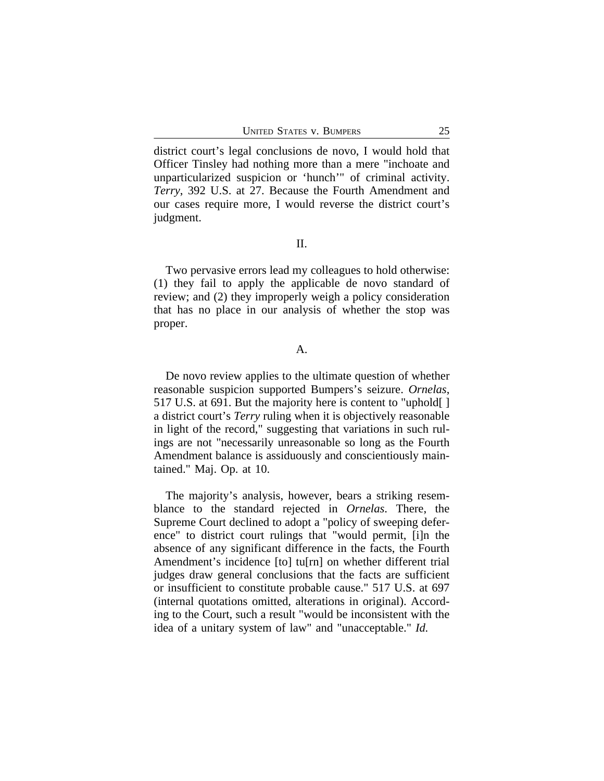district court's legal conclusions de novo, I would hold that Officer Tinsley had nothing more than a mere "inchoate and unparticularized suspicion or 'hunch'" of criminal activity. *Terry*, 392 U.S. at 27. Because the Fourth Amendment and our cases require more, I would reverse the district court's judgment.

II.

Two pervasive errors lead my colleagues to hold otherwise: (1) they fail to apply the applicable de novo standard of review; and (2) they improperly weigh a policy consideration that has no place in our analysis of whether the stop was proper.

#### A.

De novo review applies to the ultimate question of whether reasonable suspicion supported Bumpers's seizure. *Ornelas*, 517 U.S. at 691. But the majority here is content to "uphold[ ] a district court's *Terry* ruling when it is objectively reasonable in light of the record," suggesting that variations in such rulings are not "necessarily unreasonable so long as the Fourth Amendment balance is assiduously and conscientiously maintained." Maj. Op. at 10.

The majority's analysis, however, bears a striking resemblance to the standard rejected in *Ornelas*. There, the Supreme Court declined to adopt a "policy of sweeping deference" to district court rulings that "would permit, [i]n the absence of any significant difference in the facts, the Fourth Amendment's incidence [to] tu[rn] on whether different trial judges draw general conclusions that the facts are sufficient or insufficient to constitute probable cause." 517 U.S. at 697 (internal quotations omitted, alterations in original). According to the Court, such a result "would be inconsistent with the idea of a unitary system of law" and "unacceptable." *Id.*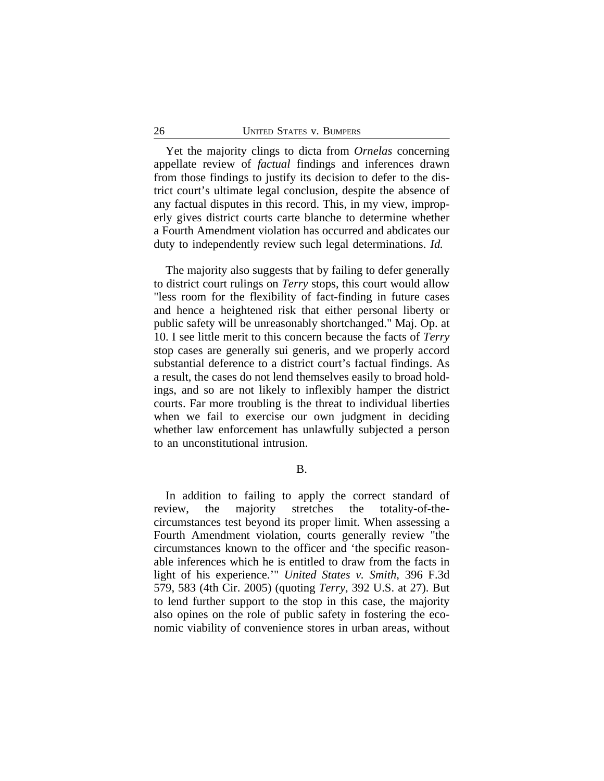Yet the majority clings to dicta from *Ornelas* concerning appellate review of *factual* findings and inferences drawn from those findings to justify its decision to defer to the district court's ultimate legal conclusion, despite the absence of any factual disputes in this record. This, in my view, improperly gives district courts carte blanche to determine whether a Fourth Amendment violation has occurred and abdicates our duty to independently review such legal determinations. *Id.*

The majority also suggests that by failing to defer generally to district court rulings on *Terry* stops, this court would allow "less room for the flexibility of fact-finding in future cases and hence a heightened risk that either personal liberty or public safety will be unreasonably shortchanged." Maj. Op. at 10. I see little merit to this concern because the facts of *Terry* stop cases are generally sui generis, and we properly accord substantial deference to a district court's factual findings. As a result, the cases do not lend themselves easily to broad holdings, and so are not likely to inflexibly hamper the district courts. Far more troubling is the threat to individual liberties when we fail to exercise our own judgment in deciding whether law enforcement has unlawfully subjected a person to an unconstitutional intrusion.

B.

In addition to failing to apply the correct standard of review, the majority stretches the totality-of-thecircumstances test beyond its proper limit. When assessing a Fourth Amendment violation, courts generally review "the circumstances known to the officer and 'the specific reasonable inferences which he is entitled to draw from the facts in light of his experience.'" *United States v. Smith*, 396 F.3d 579, 583 (4th Cir. 2005) (quoting *Terry*, 392 U.S. at 27). But to lend further support to the stop in this case, the majority also opines on the role of public safety in fostering the economic viability of convenience stores in urban areas, without